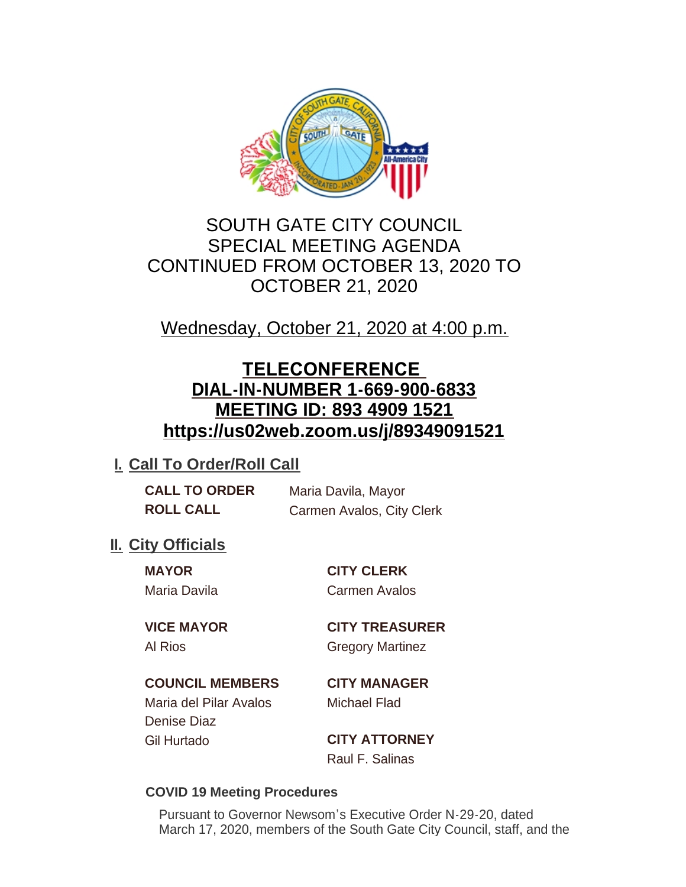

# SOUTH GATE CITY COUNCIL SPECIAL MEETING AGENDA CONTINUED FROM OCTOBER 13, 2020 TO OCTOBER 21, 2020

Wednesday, October 21, 2020 at 4:00 p.m.

# **TELECONFERENCE DIAL-IN-NUMBER 1-669-900-6833 MEETING ID: 893 4909 1521 https://us02web.zoom.us/j/89349091521**

## **I. Call To Order/Roll Call**

**CALL TO ORDER** Maria Davila, Mayor **ROLL CALL** Carmen Avalos, City Clerk

## **II.** City Officials

**MAYOR CITY CLERK** Maria Davila Carmen Avalos

**VICE MAYOR CITY TREASURER** Al Rios Gregory Martinez

## **COUNCIL MEMBERS CITY MANAGER**

Maria del Pilar Avalos Michael Flad Denise Diaz Gil Hurtado **CITY ATTORNEY**

Raul F. Salinas

### **COVID 19 Meeting Procedures**

Pursuant to Governor Newsom's Executive Order N-29-20, dated March 17, 2020, members of the South Gate City Council, staff, and the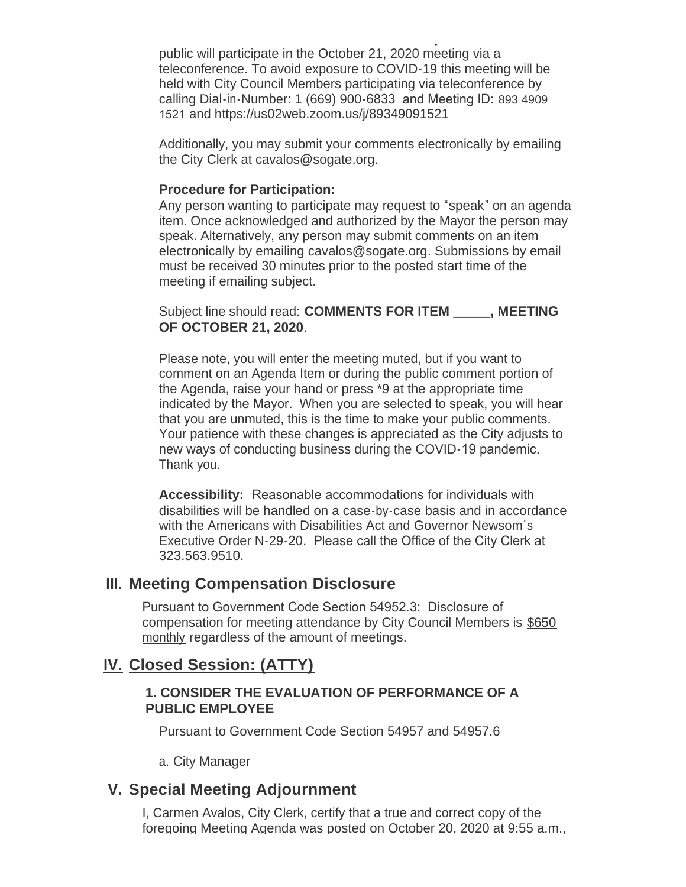March 17, 2020, members of the South Gate City Council, staff, and the public will participate in the October 21, 2020 meeting via a teleconference. To avoid exposure to COVID-19 this meeting will be held with City Council Members participating via teleconference by calling Dial-in-Number: 1 (669) 900-6833 and Meeting ID: 893 4909 1521 and https://us02web.zoom.us/j/89349091521

Additionally, you may submit your comments electronically by emailing the City Clerk at cavalos@sogate.org.

#### **Procedure for Participation:**

Any person wanting to participate may request to "speak" on an agenda item. Once acknowledged and authorized by the Mayor the person may speak. Alternatively, any person may submit comments on an item electronically by emailing cavalos@sogate.org. Submissions by email must be received 30 minutes prior to the posted start time of the meeting if emailing subject.

Subject line should read: **COMMENTS FOR ITEM \_\_\_\_\_, MEETING OF OCTOBER 21, 2020**.

Please note, you will enter the meeting muted, but if you want to comment on an Agenda Item or during the public comment portion of the Agenda, raise your hand or press \*9 at the appropriate time indicated by the Mayor. When you are selected to speak, you will hear that you are unmuted, this is the time to make your public comments. Your patience with these changes is appreciated as the City adjusts to new ways of conducting business during the COVID-19 pandemic. Thank you.

**Accessibility:** Reasonable accommodations for individuals with disabilities will be handled on a case-by-case basis and in accordance with the Americans with Disabilities Act and Governor Newsom's Executive Order N-29-20. Please call the Office of the City Clerk at 323.563.9510.

### **Meeting Compensation Disclosure III.**

Pursuant to Government Code Section 54952.3: Disclosure of compensation for meeting attendance by City Council Members is \$650 monthly regardless of the amount of meetings.

## **Closed Session: (ATTY) IV.**

#### **1. CONSIDER THE EVALUATION OF PERFORMANCE OF A PUBLIC EMPLOYEE**

Pursuant to Government Code Section 54957 and 54957.6

a. City Manager

## **Special Meeting Adjournment V.**

I, Carmen Avalos, City Clerk, certify that a true and correct copy of the foregoing Meeting Agenda was posted on October 20, 2020 at 9:55 a.m.,